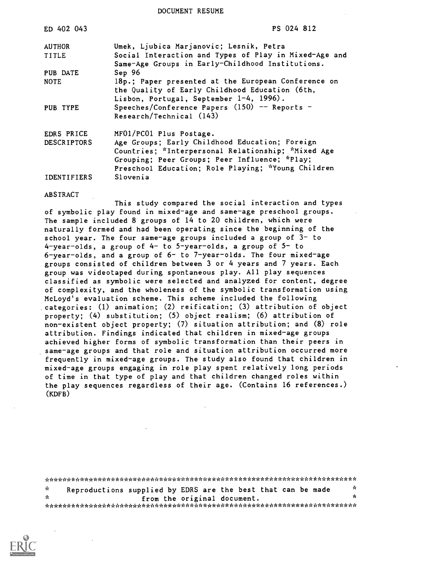DOCUMENT RESUME

| ED 402 043         | PS 024 812                                                                                                                                       |
|--------------------|--------------------------------------------------------------------------------------------------------------------------------------------------|
| <b>AUTHOR</b>      | Umek, Ljubica Marjanovic; Lesnik, Petra                                                                                                          |
| TITLE              | Social Interaction and Types of Play in Mixed-Age and<br>Same-Age Groups in Early-Childhood Institutions.                                        |
| PUB DATE           | Sep 96                                                                                                                                           |
| <b>NOTE</b>        | 18p.; Paper presented at the European Conference on<br>the Quality of Early Childhood Education (6th,<br>Lisbon, Portugal, September 1-4, 1996). |
| PUB TYPE           | Speeches/Conference Papers $(150)$ -- Reports -<br>Research/Technical (143)                                                                      |
| EDRS PRICE         | MF01/PC01 Plus Postage.                                                                                                                          |
| <b>DESCRIPTORS</b> | Age Groups; Early Childhood Education; Foreign                                                                                                   |
|                    | Countries; *Interpersonal Relationship; *Mixed Age                                                                                               |
|                    | Grouping; Peer Groups; Peer Influence; *Play;                                                                                                    |
|                    | Preschool Education; Role Playing; *Young Children                                                                                               |
| <b>IDENTIFIERS</b> | Slovenia                                                                                                                                         |

#### ABSTRACT

This study compared the social interaction and types of symbolic play found in mixed-age and same-age preschool groups. The sample included 8 groups of 14 to 20 children, which were naturally formed and had been operating since the beginning of the school year. The four same-age groups included a group of  $3-$  to 4-year-olds, a group of 4- to 5-year-olds, a group of 5- to 6-year-olds, and a group of 6- to 7-year-olds. The four mixed-age groups consisted of children between 3 or 4 years and 7 years. Each group was videotaped during spontaneous play. All play sequences classified as symbolic were selected and analyzed for content, degree of complexity, and the wholeness of the symbolic transformation using McLoyd's evaluation scheme. This scheme included the following categories: (1) animation; (2) reification; (3) attribution of object property; (4) substitution; (5) object realism; (6) attribution of non-existent object property; (7) situation attribution; and (8) role attribution. Findings indicated that children in mixed-age groups achieved higher forms of symbolic transformation than their peers in same-age groups and that role and situation attribution occurred more frequently in mixed-age groups. The study also found that children in mixed-age groups engaging in role play spent relatively long periods of time in that type of play and that children changed roles within the play sequences regardless of their age. (Contains 16 references.) (KDFB)

\*\*\*\*\*\*\*\*\*\*\*\*\*\*\*\*\*\*\*\*\*\*\*\*\*\*\*\*\*\*\*\*\*\*\*\*\*\*\*\*\*\*\*\*\*\*\*\*\*\*\*\*\*\*\*\*\*\*\*\*\*\*\*\*\*\*\*\*\*\*\* Reproductions supplied by EDRS are the best that can be made  $\mathbf{r}$ from the original document. \*\*\*\*\*\*\*\*\*\*\*\*\*\*\*\*\*\*\*\*\*\*\*\*\*\*\*\*\*\*\*\*\*\*\*\*\*\*\*\*\*\*\*\*\*\*\*\*\*\*\*\*\*\*\*\*\*\*\*\*\*\*\*\*\*\*\*\*\*\*\*

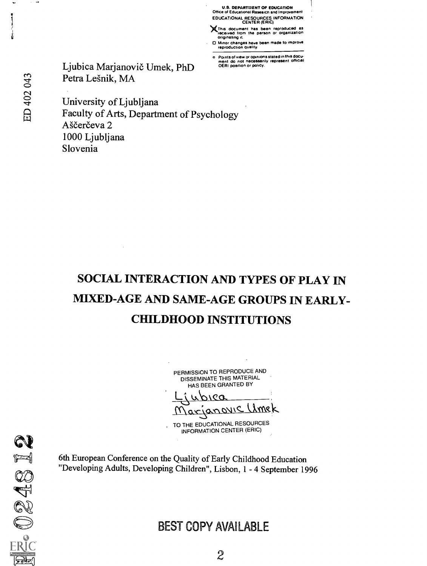U.S. DEPARTMENT OF EDUCATION Office of Educational Research and Improvement EDUCATIONAL RESOURCES INFORMATION CENTER (ERIC)

XThis document has been reproduced as received from the person or organization originating r1.

0 Minor changes have been made to improve reproduction quality.

o Points of view of opinions stated in this docu-ment do not necessarily represent official OERI position or policy.

Ljubica Marjanovi6 Umek, PhD Petra Lešnik, MA

University of Ljubljana Faculty of Arts, Department of Psychology Aščerčeva 2 1000 Ljubljana Slovenia

# SOCIAL INTERACTION AND TYPES OF PLAY IN MIXED-AGE AND SAME-AGE GROUPS IN EARLY-CHILDHOOD INSTITUTIONS

PERMISSION TO REPRODUCE AND DISSEMINATE THIS MATERIAL HAS BEEN GRANTED BY

 $\ddot{\phantom{1}}$  $intubica$ arjanovic Limek

TO THE EDUCATIONAL RESOURCES INFORMATION CENTER (ERIC)

6th European Conference on the Quality of Early Childhood Education "Developing Adults, Developing Children", Lisbon, 1 - 4 September 1996

BEST COPY AVAILABLE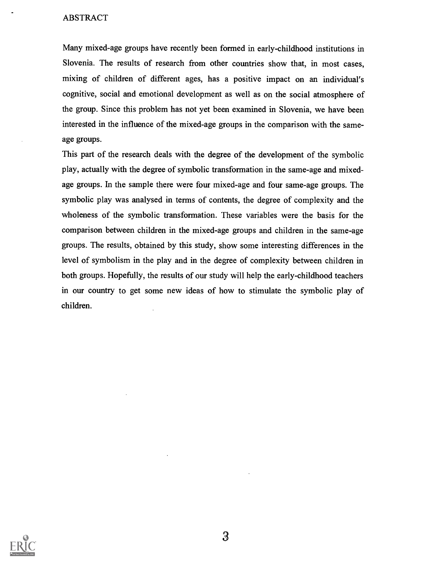ABSTRACT

Many mixed-age groups have recently been formed in early-childhood institutions in Slovenia. The results of research from other countries show that, in most cases, mixing of children of different ages, has a positive impact on an individual's cognitive, social and emotional development as well as on the social atmosphere of the group. Since this problem has not yet been examined in Slovenia, we have been interested in the influence of the mixed-age groups in the comparison with the sameage groups.

This part of the research deals with the degree of the development of the symbolic play, actually with the degree of symbolic transformation in the same-age and mixedage groups. In the sample there were four mixed-age and four same-age groups. The symbolic play was analysed in terms of contents, the degree of complexity and the wholeness of the symbolic transformation. These variables were the basis for the comparison between children in the mixed-age groups and children in the same-age groups. The results, obtained by this study, show some interesting differences in the level of symbolism in the play and in the degree of complexity between children in both groups. Hopefully, the results of our study will help the early-childhood teachers in our country to get some new ideas of how to stimulate the symbolic play of children.

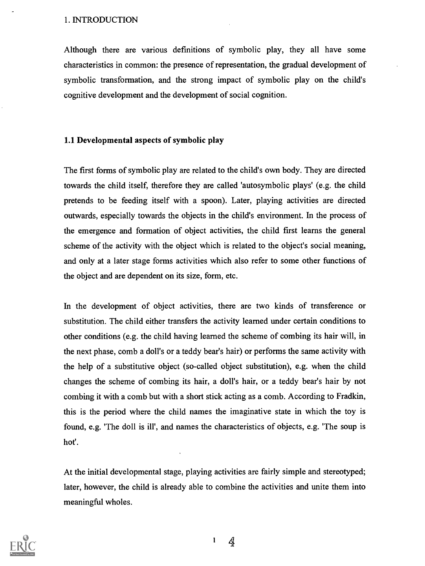Although there are various definitions of symbolic play, they all have some characteristics in common: the presence of representation, the gradual development of symbolic transformation, and the strong impact of symbolic play on the child's cognitive development and the development of social cognition.

#### 1.1 Developmental aspects of symbolic play

The first forms of symbolic play are related to the child's own body. They are directed towards the child itself, therefore they are called 'autosymbolic plays' (e.g. the child pretends to be feeding itself with a spoon). Later, playing activities are directed outwards, especially towards the objects in the child's environment. In the process of the emergence and formation of object activities, the child first learns the general scheme of the activity with the object which is related to the object's social meaning, and only at a later stage forms activities which also refer to some other functions of the object and are dependent on its size, form, etc.

In the development of object activities, there are two kinds of transference or substitution. The child either transfers the activity learned under certain conditions to other conditions (e.g. the child having learned the scheme of combing its hair will, in the next phase, comb a doll's or a teddy bear's hair) or performs the same activity with the help of a substitutive object (so-called object substitution), e.g. when the child changes the scheme of combing its hair, a doll's hair, or a teddy bear's hair by not combing it with a comb but with a short stick acting as a comb. According to Fradkin, this is the period where the child names the imaginative state in which the toy is found, e.g. 'The doll is ill', and names the characteristics of objects, e.g. 'The soup is hot'.

At the initial developmental stage, playing activities are fairly simple and stereotyped; later, however, the child is already able to combine the activities and unite them into meaningful wholes.



 $1 \frac{4}{3}$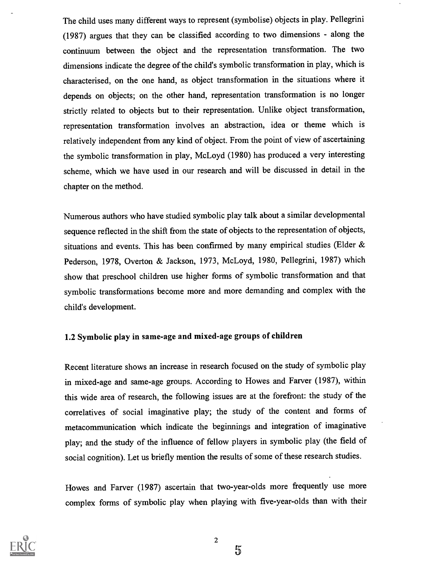The child uses many different ways to represent (symbolise) objects in play. Pellegrini (1987) argues that they can be classified according to two dimensions - along the continuum between the object and the representation transformation. The two dimensions indicate the degree of the child's symbolic transformation in play, which is characterised, on the one hand, as object transformation in the situations where it depends on objects; on the other hand, representation transformation is no longer strictly related to objects but to their representation. Unlike object transformation, representation transformation involves an abstraction, idea or theme which is relatively independent from any kind of object. From the point of view of ascertaining the symbolic transformation in play, McLoyd (1980) has produced a very interesting scheme, which we have used in our research and will be discussed in detail in the chapter on the method.

Numerous authors who have studied symbolic play talk about a similar developmental sequence reflected in the shift from the state of objects to the representation of objects, situations and events. This has been confirmed by many empirical studies (Elder & Pederson, 1978, Overton & Jackson, 1973, McLoyd, 1980, Pellegrini, 1987) which show that preschool children use higher forms of symbolic transformation and that symbolic transformations become more and more demanding and complex with the child's development.

## 1.2 Symbolic play in same-age and mixed-age groups of children

Recent literature shows an increase in research focused on the study of symbolic play in mixed-age and same-age groups. According to Howes and Farver (1987), within this wide area of research, the following issues are at the forefront: the study of the correlatives of social imaginative play; the study of the content and forms of metacommunication which indicate the beginnings and integration of imaginative play; and the study of the influence of fellow players in symbolic play (the field of social cognition). Let us briefly mention the results of some of these research studies.

Howes and Farver (1987) ascertain that two-year-olds more frequently use more complex forms of symbolic play when playing with five-year-olds than with their

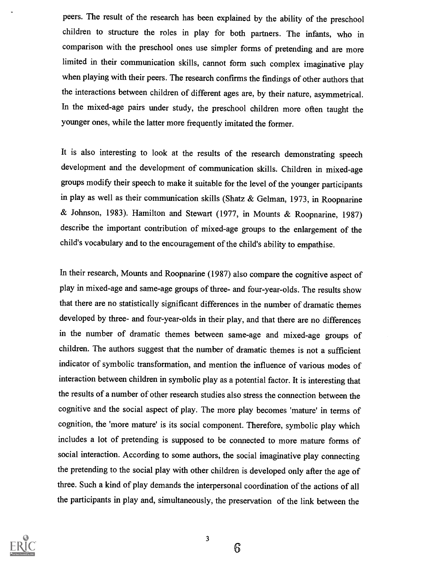peers. The result of the research has been explained by the ability of the preschool children to structure the roles in play for both partners. The infants, who in comparison with the preschool ones use simpler forms of pretending and are more limited in their communication skills, cannot form such complex imaginative play when playing with their peers. The research confirms the findings of other authors that the interactions between children of different ages are, by their nature, asymmetrical. In the mixed-age pairs under study, the preschool children more often taught the younger ones, while the latter more frequently imitated the former.

It is also interesting to look at the results of the research demonstrating speech development and the development of communication skills. Children in mixed-age groups modify their speech to make it suitable for the level of the younger participants in play as well as their communication skills (Shatz & Gelman, 1973, in Roopnarine & Johnson, 1983). Hamilton and Stewart (1977, in Mounts & Roopnarine, 1987) describe the important contribution of mixed-age groups to the enlargement of the child's vocabulary and to the encouragement of the child's ability to empathise.

In their research, Mounts and Roopnarine (1987) also compare the cognitive aspect of play in mixed-age and same-age groups of three- and four-year-olds. The results show that there are no statistically significant differences in the number of dramatic themes developed by three- and four-year-olds in their play, and that there are no differences in the number of dramatic themes between same-age and mixed-age groups of children. The authors suggest that the number of dramatic themes is not a sufficient indicator of symbolic transformation, and mention the influence of various modes of interaction between children in symbolic play as a potential factor. It is interesting that the results of a number of other research studies also stress the connection between the cognitive and the social aspect of play. The more play becomes 'mature' in terms of cognition, the 'more mature' is its social component. Therefore, symbolic play which includes a lot of pretending is supposed to be connected to more mature forms of social interaction. According to some authors, the social imaginative play connecting the pretending to the social play with other children is developed only after the age of three. Such a kind of play demands the interpersonal coordination of the actions of all the participants in play and, simultaneously, the preservation of the link between the



3

Б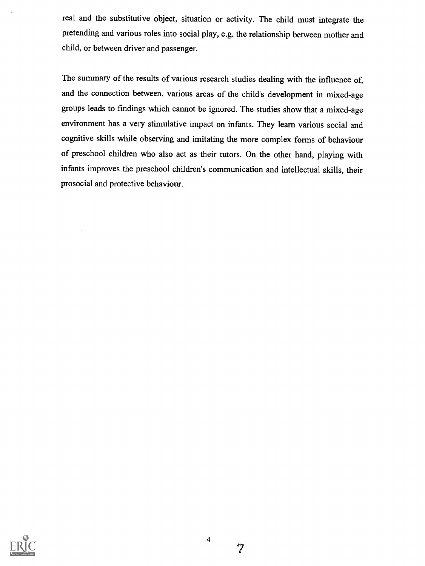real and the substitutive object, situation or activity. The child must integrate the pretending and various roles into social play, e.g. the relationship between mother and child, or between driver and passenger.

The summary of the results of various research studies dealing with the influence of, and the connection between, various areas of the child's development in mixed-age groups leads to findings which cannot be ignored. The studies show that a mixed-age environment has a very stimulative impact on infants. They learn various social and cognitive skills while observing and imitating the more complex forms of behaviour of preschool children who also act as their tutors. On the other hand, playing with infants improves the preschool children's communication and intellectual skills, their prosocial and protective behaviour.



4

 $\boldsymbol{7}$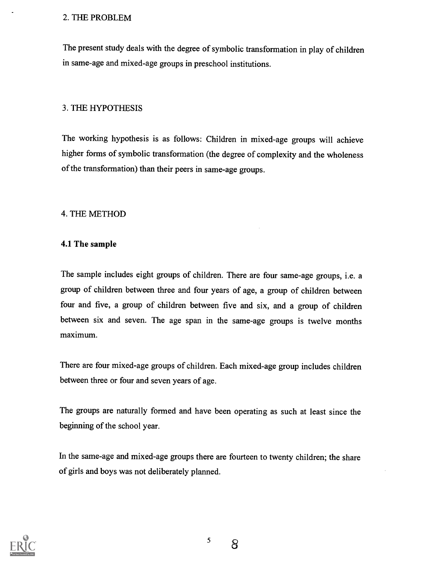## 2. THE PROBLEM

The present study deals with the degree of symbolic transformation in play of children in same-age and mixed-age groups in preschool institutions.

### 3. THE HYPOTHESIS

The working hypothesis is as follows: Children in mixed-age groups will achieve higher forms of symbolic transformation (the degree of complexity and the wholeness of the transformation) than their peers in same-age groups.

## 4. THE METHOD

## 4.1 The sample

The sample includes eight groups of children. There are four same-age groups, i.e. a group of children between three and four years of age, a group of children between four and five, a group of children between five and six, and a group of children between six and seven. The age span in the same-age groups is twelve months maximum.

There are four mixed-age groups of children. Each mixed-age group includes children between three or four and seven years of age.

The groups are naturally formed and have been operating as such at least since the beginning of the school year.

In the same-age and mixed-age groups there are fourteen to twenty children; the share of girls and boys was not deliberately planned.



5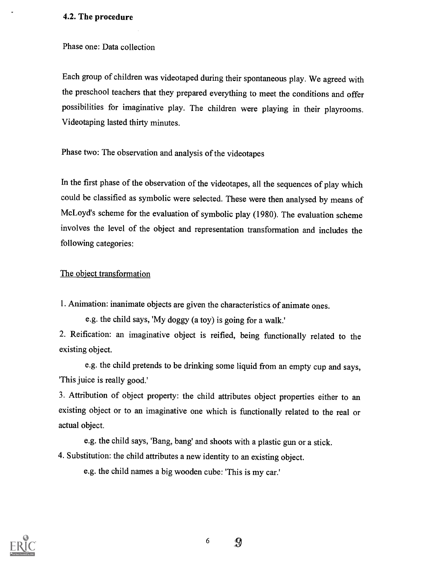#### 4.2. The procedure

#### Phase one: Data collection

Each group of children was videotaped during their spontaneous play. We agreed with the preschool teachers that they prepared everything to meet the conditions and offer possibilities for imaginative play. The children were playing in their playrooms. Videotaping lasted thirty minutes.

Phase two: The observation and analysis of the videotapes

In the first phase of the observation of the videotapes, all the sequences of play which could be classified as symbolic were selected. These were then analysed by means of McLoyd's scheme for the evaluation of symbolic play (1980). The evaluation scheme involves the level of the object and representation transformation and includes the following categories:

## The object transformation

1. Animation: inanimate objects are given the characteristics of animate ones.

e.g. the child says, 'My doggy (a toy) is going for a walk.'

2. Reification: an imaginative object is reified, being functionally related to the existing object.

e.g. the child pretends to be drinking some liquid from an empty cup and says, 'This juice is really good.'

3. Attribution of object property: the child attributes object properties either to an existing object or to an imaginative one which is functionally related to the real or actual object.

e.g. the child says, 'Bang, bang' and shoots with a plastic gun or a stick. 4. Substitution: the child attributes a new identity to an existing object.

e.g. the child names a big wooden cube: 'This is my car.'



6

ி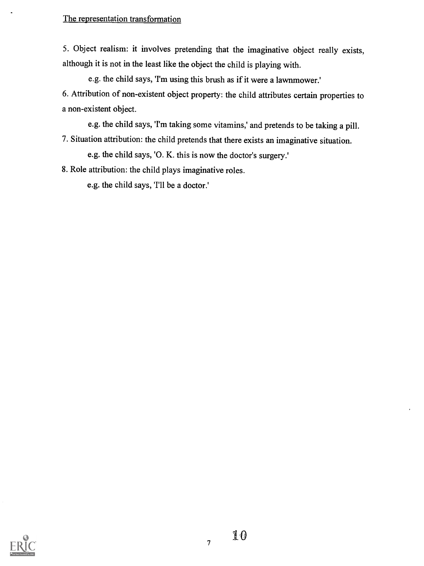## The representation transformation

 $\ddot{\phantom{a}}$ 

5. Object realism: it involves pretending that the imaginative object really exists, although it is not in the least like the object the child is playing with.

e.g. the child says, 'I'm using this brush as if it were a lawnmower.' 6. Attribution of non-existent object property: the child attributes certain properties to a non-existent object.

e.g. the child says, 'I'm taking some vitamins,' and pretends to be taking a pill. 7. Situation attribution: the child pretends that there exists an imaginative situation.

e.g. the child says, '0. K. this is now the doctor's surgery.'

8. Role attribution: the child plays imaginative roles.

e.g. the child says, 'I'll be a doctor.'

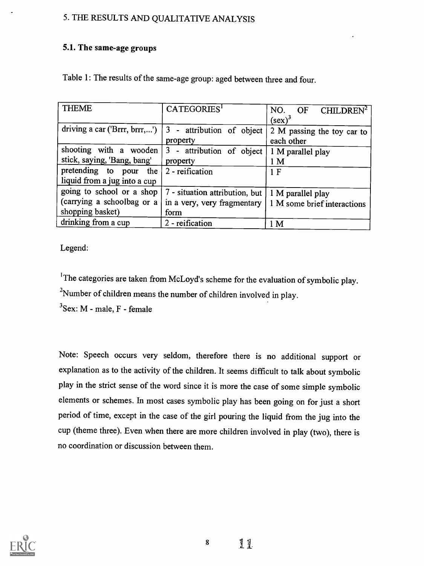## 5. THE RESULTS AND QUALITATIVE ANALYSIS

## 5.1. The same-age groups

| <b>THEME</b>                                                                | CATEGORIES <sup>1</sup>                                                 | NO.<br>CHILDREN <sup>2</sup><br>OF<br>$(sex)^3$  |
|-----------------------------------------------------------------------------|-------------------------------------------------------------------------|--------------------------------------------------|
|                                                                             | driving a car ('Brrr, brrr,')   3 - attribution of object<br>property   | 2 M passing the toy car to<br>each other         |
| stick, saying, 'Bang, bang'                                                 | shooting with a wooden $ 3$ - attribution of object<br>property         | 1 M parallel play<br>1 <sub>M</sub>              |
| pretending to pour the<br>liquid from a jug into a cup                      | 2 - reification                                                         | 1 F                                              |
| going to school or a shop<br>(carrying a schoolbag or a<br>shopping basket) | 7 - situation attribution, but  <br>in a very, very fragmentary<br>form | 1 M parallel play<br>1 M some brief interactions |
| drinking from a cup                                                         | 2 - reification                                                         | 1 <sub>M</sub>                                   |

Table 1: The results of the same-age group: aged between three and four.

Legend:

'The categories are taken from McLoyd's scheme for the evaluation of symbolic play. <sup>2</sup>Number of children means the number of children involved in play.

 ${}^{3}$ Sex: M - male, F - female

Note: Speech occurs very seldom, therefore there is no additional support or explanation as to the activity of the children. It seems difficult to talk about symbolic play in the strict sense of the word since it is more the case of some simple symbolic elements or schemes. In most cases symbolic play has been going on for just a short period of time, except in the case of the girl pouring the liquid from the jug into the cup (theme three). Even when there are more children involved in play (two), there is no coordination or discussion between them.

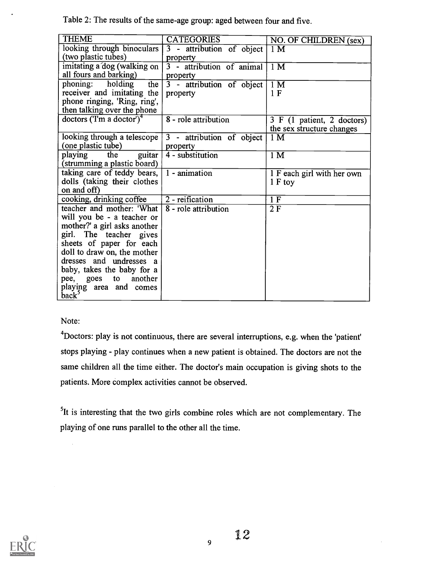Table 2: The results of the same-age group: aged between four and five.

| <b>THEME</b>                                     | <b>CATEGORIES</b>            | NO. OF CHILDREN (sex)                   |
|--------------------------------------------------|------------------------------|-----------------------------------------|
| looking through binoculars                       | 3 - attribution of object    | 1 <sub>M</sub>                          |
| (two plastic tubes)                              | property                     |                                         |
| imitating a dog (walking on                      | 3 - attribution of animal    | 1 M                                     |
| all fours and barking)                           | property                     |                                         |
| phoning:<br>holding<br>the                       | 3 - attribution of object    | $1\overline{M}$                         |
| receiver and imitating the                       | property                     | 1 F                                     |
| phone ringing, 'Ring, ring',                     |                              |                                         |
| then talking over the phone                      |                              |                                         |
| $doctors$ (T'm a doctor') <sup>4</sup>           | 8 - role attribution         | 3 F (1 patient, 2 doctors)              |
|                                                  |                              | the sex structure changes               |
| looking through a telescope                      | 3 - attribution of object    | 1 <sub>M</sub>                          |
| (one plastic tube)<br>the                        | property<br>4 - substitution |                                         |
| playing<br>guitar<br>(strumming a plastic board) |                              | 1 M                                     |
| taking care of teddy bears,                      | 1 - animation                |                                         |
| dolls (taking their clothes                      |                              | 1 F each girl with her own<br>$1 F$ toy |
| on and off)                                      |                              |                                         |
| cooking, drinking coffee                         | $2$ - reification            | 1 F                                     |
| teacher and mother: 'What                        | 8 - role attribution         | 2F                                      |
| will you be - a teacher or                       |                              |                                         |
| mother?' a girl asks another                     |                              |                                         |
| girl. The teacher gives                          |                              |                                         |
| sheets of paper for each                         |                              |                                         |
| doll to draw on, the mother                      |                              |                                         |
| dresses and undresses a                          |                              |                                         |
| baby, takes the baby for a                       |                              |                                         |
| pee, goes to<br>another                          |                              |                                         |
| playing area and comes                           |                              |                                         |
| back <sup>5</sup>                                |                              |                                         |

Note:

<sup>4</sup>Doctors: play is not continuous, there are several interruptions, e.g. when the 'patient' stops playing - play continues when a new patient is obtained. The doctors are not the same children all the time either. The doctor's main occupation is giving shots to the patients. More complex activities cannot be observed.

<sup>5</sup>It is interesting that the two girls combine roles which are not complementary. The playing of one runs parallel to the other all the time.

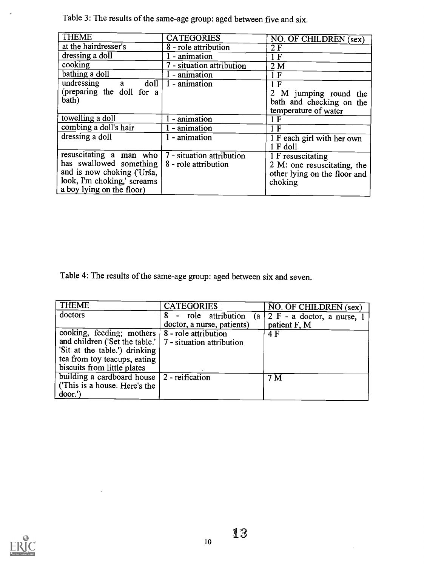Table 3: The results of the same-age group: aged between five and six.

| <b>THEME</b>                                         | <b>CATEGORIES</b>         | NO. OF CHILDREN (sex)                             |
|------------------------------------------------------|---------------------------|---------------------------------------------------|
| at the hairdresser's                                 | 8 - role attribution      | 2F                                                |
| dressing a doll                                      | - animation               | 1 F                                               |
| cooking                                              | 7 - situation attribution | 2 <sub>M</sub>                                    |
| bathing a doll                                       | - animation               | 1 F                                               |
| undressing<br>doll<br>$\mathbf{a}$                   | - animation               | $1 \mathrm{F}$                                    |
| (preparing the doll for a<br>bath)                   |                           | 2 M jumping round the<br>bath and checking on the |
|                                                      |                           | temperature of water                              |
| towelling a doll                                     | - animation               | 1 F                                               |
| combing a doll's hair                                | - animation               | 1 F                                               |
| dressing a doll                                      | 1 - animation             | 1 F each girl with her own<br>1 F doll            |
| resuscitating a man who $ 7 -$ situation attribution |                           | 1 F resuscitating                                 |
| has swallowed something $ 8 -$ role attribution      |                           | 2 M: one resuscitating, the                       |
| and is now choking ('Urša,                           |                           | other lying on the floor and                      |
| look, I'm choking,' screams                          |                           | choking                                           |
| a boy lying on the floor)                            |                           |                                                   |

Table 4: The results of the same-age group: aged between six and seven.

| <b>THEME</b>                                               | <b>CATEGORIES</b>          | NO. OF CHILDREN (sex)                |  |
|------------------------------------------------------------|----------------------------|--------------------------------------|--|
| doctors                                                    | - role attribution         | $(a \mid 2 F - a$ doctor, a nurse, 1 |  |
|                                                            | doctor, a nurse, patients) | patient F, M                         |  |
| cooking, feeding; mothers $\vert$                          | 8 - role attribution       | 4F                                   |  |
| and children ('Set the table.'   7 - situation attribution |                            |                                      |  |
| 'Sit at the table.') drinking                              |                            |                                      |  |
| tea from toy teacups, eating                               |                            |                                      |  |
| biscuits from little plates                                |                            |                                      |  |
| building a cardboard house $\sqrt{2}$ - reification        |                            | 7 M                                  |  |
| ('This is a house. Here's the                              |                            |                                      |  |
| door.')                                                    |                            |                                      |  |



 $\ddot{\phantom{1}}$ 

io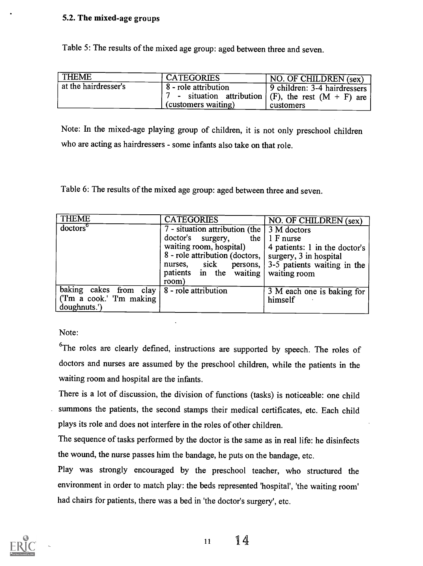## 5.2. The mixed-age groups

Table 5: The results of the mixed age group: aged between three and seven.

| <b>THEME</b>         | <b>CATEGORIES</b>                           | NO. OF CHILDREN (sex)                                                                                  |
|----------------------|---------------------------------------------|--------------------------------------------------------------------------------------------------------|
| at the hairdresser's | 8 - role attribution<br>(customers waiting) | 9 children: 3-4 hairdressers  <br>- situation attribution $ (F)$ , the rest $(M + F)$ are<br>customers |

Note: In the mixed-age playing group of children, it is not only preschool children who are acting as hairdressers - some infants also take on that role.

Table 6: The results of the mixed age group: aged between three and seven.

| <b>THEME</b>                                   | <b>CATEGORIES</b>                                        | NO. OF CHILDREN (sex)         |
|------------------------------------------------|----------------------------------------------------------|-------------------------------|
| dactors <sup>6</sup>                           | 7 - situation attribution (the $\overline{)3}$ M doctors |                               |
|                                                | doctor's surgery,                                        | the $\vert$ 1 F nurse         |
|                                                | waiting room, hospital)                                  | 4 patients: 1 in the doctor's |
|                                                | 8 - role attribution (doctors,                           | surgery, 3 in hospital        |
|                                                | nurses, sick persons,                                    | 3-5 patients waiting in the   |
|                                                | patients in the waiting waiting room<br>room)            |                               |
|                                                |                                                          |                               |
| baking cakes from clay $ 8 -$ role attribution |                                                          | 3 M each one is baking for    |
| ('I'm a cook.' 'I'm making                     |                                                          | himself                       |
| doughnuts.')                                   |                                                          |                               |

Note:

<sup>6</sup>The roles are clearly defined, instructions are supported by speech. The roles of doctors and nurses are assumed by the preschool children, while the patients in the waiting room and hospital are the infants.

There is a lot of discussion, the division of functions (tasks) is noticeable: one child summons the patients, the second stamps their medical certificates, etc. Each child plays its role and does not interfere in the roles of other children.

The sequence of tasks performed by the doctor is the same as in real life: he disinfects the wound, the nurse passes him the bandage, he puts on the bandage, etc.

Play was strongly encouraged by the preschool teacher, who structured the environment in order to match play: the beds represented 'hospital', 'the waiting room' had chairs for patients, there was a bed in 'the doctor's surgery', etc.

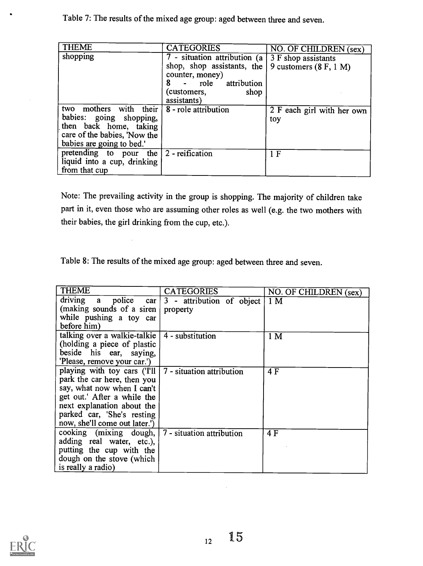Table 7: The results of the mixed age group: aged between three and seven.

| <b>THEME</b>                                     | <b>CATEGORIES</b>                    | NO. OF CHILDREN (sex)      |
|--------------------------------------------------|--------------------------------------|----------------------------|
| shopping                                         | 7 - situation attribution (a $\vert$ | 3 F shop assistants        |
|                                                  | shop, shop assistants, the $\vert$   | 9 customers $(8 F, 1 M)$   |
|                                                  | counter, money)                      |                            |
|                                                  | - role attribution<br>8.             |                            |
|                                                  | (customers,<br>shop                  |                            |
|                                                  | assistants)                          |                            |
| mothers with their   8 - role attribution<br>two |                                      | 2 F each girl with her own |
| babies: going shopping,                          |                                      | toy                        |
| then back home, taking                           |                                      |                            |
| care of the babies, 'Now the                     |                                      |                            |
| babies are going to bed.'                        |                                      |                            |
| pretending to pour the $2$ -reification          |                                      | 1 F                        |
| liquid into a cup, drinking                      |                                      |                            |
| from that cup                                    |                                      |                            |

Note: The prevailing activity in the group is shopping. The majority of children take part in it, even those who are assuming other roles as well (e.g. the two mothers with their babies, the girl drinking from the cup, etc.).

Table 8: The results of the mixed age group: aged between three and seven.

| <b>THEME</b>                                                           | <b>CATEGORIES</b>                          | NO. OF CHILDREN (sex) |
|------------------------------------------------------------------------|--------------------------------------------|-----------------------|
| driving a                                                              | police $car   3 - attribution of object  $ | $\overline{1 M}$      |
| (making sounds of a siren                                              | property                                   |                       |
| while pushing a toy car                                                |                                            |                       |
| before him)                                                            |                                            |                       |
| talking over a walkie-talkie $\vert$ 4 - substitution                  |                                            | 1 <sub>M</sub>        |
| (holding a piece of plastic                                            |                                            |                       |
| beside his ear, saying,                                                |                                            |                       |
| 'Please, remove your car.')                                            |                                            |                       |
| playing with toy cars $(T\parallel 1 \rceil - 5)$ ituation attribution |                                            | 4 F                   |
| park the car here, then you                                            |                                            |                       |
| say, what now when I can't                                             |                                            |                       |
| get out.' After a while the                                            |                                            |                       |
| next explanation about the                                             |                                            |                       |
| parked car, 'She's resting                                             |                                            |                       |
| now, she'll come out later.')                                          |                                            |                       |
| cooking (mixing dough, $7$ -situation attribution                      |                                            | 4 F                   |
| adding real water, etc.),                                              |                                            |                       |
| putting the cup with the                                               |                                            |                       |
| dough on the stove (which                                              |                                            |                       |
| is really a radio)                                                     |                                            |                       |



 $\bullet$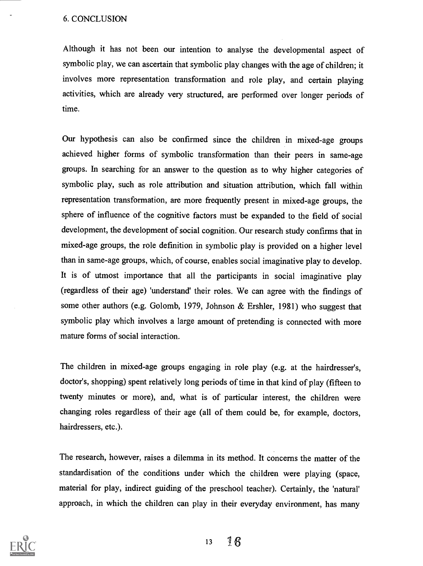Although it has not been our intention to analyse the developmental aspect of symbolic play, we can ascertain that symbolic play changes with the age of children; it involves more representation transformation and role play, and certain playing activities, which are already very structured, are performed over longer periods of time.

Our hypothesis can also be confirmed since the children in mixed-age groups achieved higher forms of symbolic transformation than their peers in same-age groups. In searching for an answer to the question as to why higher categories of symbolic play, such as role attribution and situation attribution, which fall within representation transformation, are more frequently present in mixed-age groups, the sphere of influence of the cognitive factors must be expanded to the field of social development, the development of social cognition. Our research study confirms that in mixed-age groups, the role definition in symbolic play is provided on a higher level than in same-age groups, which, of course, enables social imaginative play to develop. It is of utmost importance that all the participants in social imaginative play (regardless of their age) 'understand' their roles. We can agree with the findings of some other authors (e.g. Golomb, 1979, Johnson & Ershler, 1981) who suggest that symbolic play which involves a large amount of pretending is connected with more mature forms of social interaction.

The children in mixed-age groups engaging in role play (e.g. at the hairdresser's, doctor's, shopping) spent relatively long periods of time in that kind of play (fifteen to twenty minutes or more), and, what is of particular interest, the children were changing roles regardless of their age (all of them could be, for example, doctors, hairdressers, etc.).

The research, however, raises a dilemma in its method. It concerns the matter of the standardisation of the conditions under which the children were playing (space, material for play, indirect guiding of the preschool teacher). Certainly, the 'natural' approach, in which the children can play in their everyday environment, has many

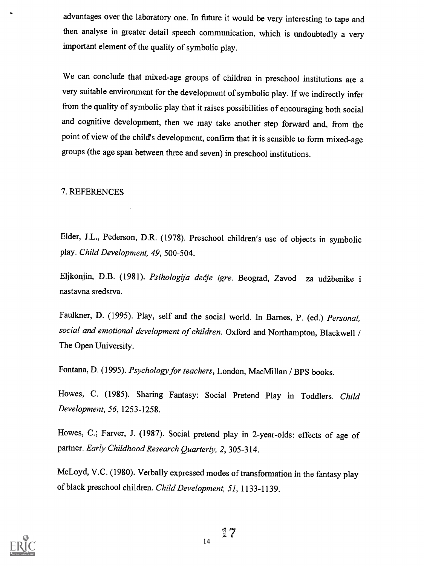advantages over the laboratory one. In future it would be very interesting to tape and then analyse in greater detail speech communication, which is undoubtedly a very important element of the quality of symbolic play.

We can conclude that mixed-age groups of children in preschool institutions are a very suitable environment for the development of symbolic play. If we indirectly infer from the quality of symbolic play that it raises possibilities of encouraging both social and cognitive development, then we may take another step forward and, from the point of view of the child's development, confirm that it is sensible to form mixed-age groups (the age span between three and seven) in preschool institutions.

#### 7. REFERENCES

Elder, J.L., Pederson, D.R. (1978). Preschool children's use of objects in symbolic play. Child Development, 49, 500-504.

Eljkonjin, D.B. (1981). Psihologija dečje igre. Beograd, Zavod za udžbenike i nastavna sredstva.

Faulkner, D. (1995). Play, self and the social world. In Barnes, P. (ed.) Personal, social and emotional development of children. Oxford and Northampton, Blackwell / The Open University.

Fontana, D. (1995). Psychology for teachers, London, MacMillan / BPS books.

Howes, C. (1985). Sharing Fantasy: Social Pretend Play in Toddlers. Child Development, 56, 1253-1258.

Howes, C.; Farver, J. (1987). Social pretend play in 2-year-olds: effects of age of partner. Early Childhood Research Quarterly, 2, 305-314.

McLoyd, V.C. (1980). Verbally expressed modes of transformation in the fantasy play of black preschool children. Child Development, 51, 1133-1139.

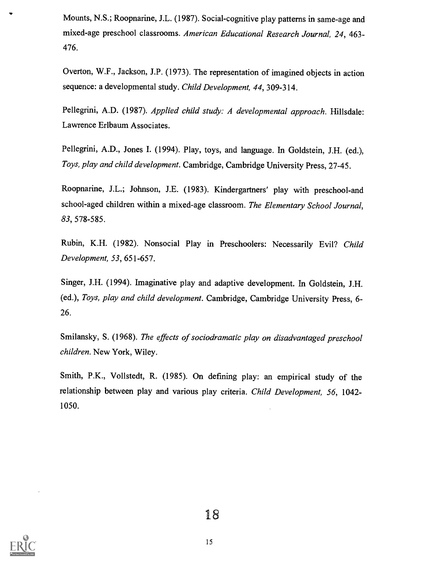Mounts, N.S.; Roopnarine, J.L. (1987). Social-cognitive play patterns in same-age and mixed-age preschool classrooms. American Educational Research Journal, 24, 463- 476.

Overton, W.F., Jackson, J.P. (1973). The representation of imagined objects in action sequence: a developmental study. Child Development, 44, 309-314.

Pellegrini, A.D. (1987). Applied child study: A developmental approach. Hillsdale: Lawrence Erlbaum Associates.

Pellegrini, A.D., Jones I. (1994). Play, toys, and language. In Goldstein, J.H. (ed.), Toys, play and child development. Cambridge, Cambridge University Press, 27-45.

Roopnarine, J.L.; Johnson, J.E. (1983). Kindergartners' play with preschool-and school-aged children within a mixed-age classroom. The Elementary School Journal, 83, 578-585.

Rubin, K.H. (1982). Nonsocial Play in Preschoolers: Necessarily Evil? Child Development, 53, 651-657.

Singer, J.H. (1994). Imaginative play and adaptive development. In Goldstein, J.H. (ed.), Toys, play and child development. Cambridge, Cambridge University Press, 6- 26.

Smilansky, S. (1968). The effects of sociodramatic play on disadvantaged preschool children. New York, Wiley.

Smith, P.K., Vollstedt, R. (1985). On defining play: an empirical study of the relationship between play and various play criteria. Child Development, 56, 1042- 1050.

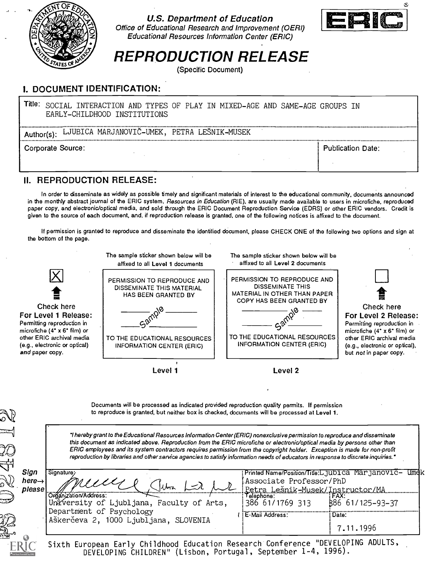

U.S. Department of Education Office of Educational Research and Improvement (OERI) Educational Resources Information Center (ERIC)



REPRODUCTION RELEASE

(Specific Document)

## I. DOCUMENT IDENTIFICATION:

| Title:<br>SOCTAL INTERACTION AND TYPES OF PLAY IN MIXED-AGE AND SAME-AGE GROUPS IN<br>EARLY-CHILDHOOD INSTITUTIONS |                   |
|--------------------------------------------------------------------------------------------------------------------|-------------------|
| LJUBICA MARJANOVIČ-UMEK, PETRA LEŠNIK-MUSEK                                                                        |                   |
| Corporate Source:                                                                                                  | Publication Date: |

## II. REPRODUCTION RELEASE:

In order to disseminate as widely as possible timely and significant materials of interest to the educational community, documents announced in the monthly abstract journal of the ERIC system, Resources in Education (RIE), are usually made available to users in microfiche, reproduced paper copy, and electronic/optical media, and sold through the ERIC Document Reproduction Service (EDRS) or other ERIC vendors. Credit is given to the source of each document, and, if reproduction release is granted, one of the following notices is affixed to the document.

If permission is granted to reproduce and disseminate the identified document, please CHECK ONE of the following two options and sign at the bottom of the page.



Documents will be processed as indicated provided reproduction quality permits. If permission to reproduce is granted, but neither box is checked, documents will be processed at Level 1.

Sign Signature<sub>/</sub> here $\rightarrow$ please 'I hereby grant to the Educational Resources Information Center (ERIC) nonexclusive permission to reproduce and disseminate this document as indicated above. Reproduction from the ERIC microfiche or electronidoptical media by persons other than ERIC employees and its system contractors requires permission from the copyright holder. Exception is made for non-profit reproduction by libraries and other service agencies to satisfy information needs of educators in response to discrete inquiries.' .05 ation/Address: University of Ljubljana, Faculty of Arts, Department of Psychology Aškerčeva 2, 1000 Ljubljana, SLOVENIA :Printed Name/Position/Title:Ljubica Marjanovic- Umek Associate Professor/PhD kar TefejoKdrie: one FA3C. 386 61/1769 313 E-Mail Address: Date: 7.11.1996 Sixth European Early Childhood Education Research Conference "DEVELOPING ADULTS, DEVELOPING CHILDREN" (Lisbon, Portugal, September 1-4, 1996).